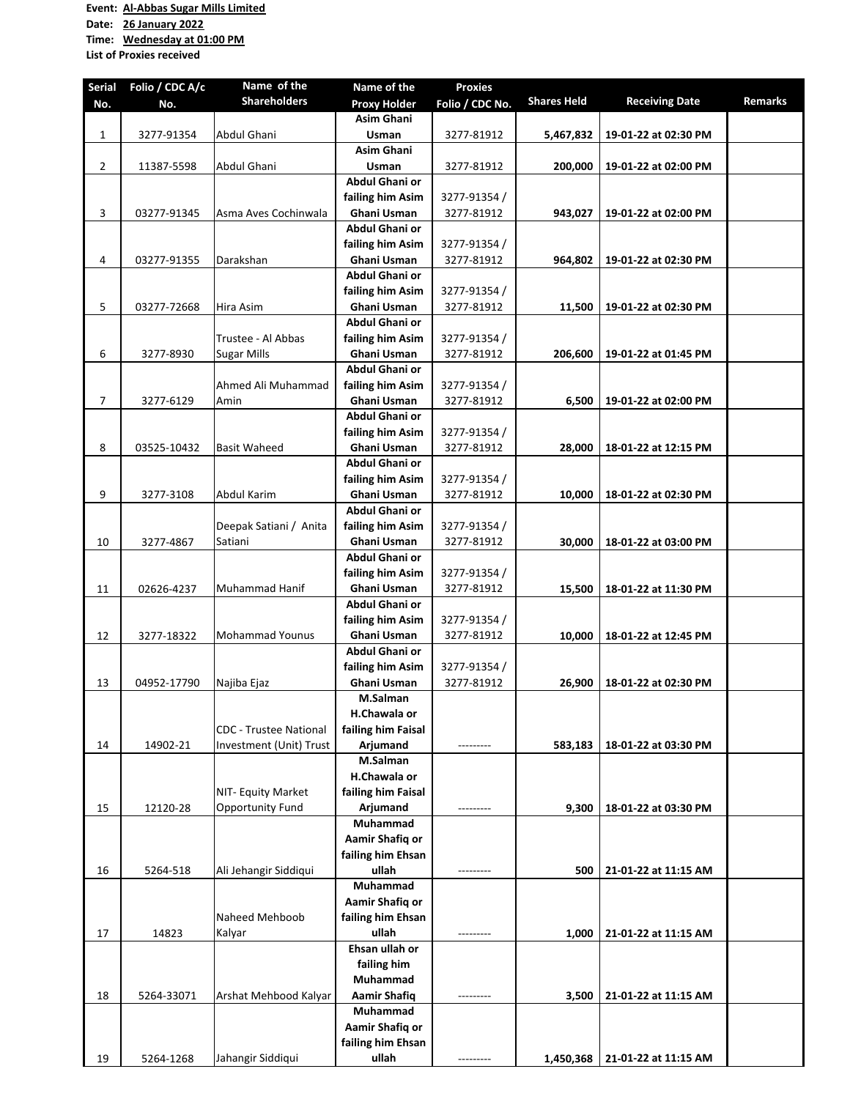## **Event: Al‐Abbas Sugar Mills Limited**

**Date: 26 January 2022**

**Time: Wednesday at 01:00 PM**

**List of Proxies received**

| <b>Serial</b> | Folio / CDC A/c | Name of the                   | Name of the                   | <b>Proxies</b>            |                    |                       |                |
|---------------|-----------------|-------------------------------|-------------------------------|---------------------------|--------------------|-----------------------|----------------|
| No.           | No.             | <b>Shareholders</b>           | <b>Proxy Holder</b>           | Folio / CDC No.           | <b>Shares Held</b> | <b>Receiving Date</b> | <b>Remarks</b> |
|               |                 |                               | <b>Asim Ghani</b>             |                           |                    |                       |                |
| 1             | 3277-91354      | Abdul Ghani                   | Usman                         | 3277-81912                | 5,467,832          | 19-01-22 at 02:30 PM  |                |
|               |                 |                               | <b>Asim Ghani</b>             |                           |                    |                       |                |
| 2             | 11387-5598      | Abdul Ghani                   | Usman                         | 3277-81912                | 200,000            | 19-01-22 at 02:00 PM  |                |
|               |                 |                               | Abdul Ghani or                |                           |                    |                       |                |
|               |                 |                               | failing him Asim              | 3277-91354 /              |                    |                       |                |
| 3             | 03277-91345     | Asma Aves Cochinwala          | Ghani Usman<br>Abdul Ghani or | 3277-81912                | 943,027            | 19-01-22 at 02:00 PM  |                |
|               |                 |                               | failing him Asim              |                           |                    |                       |                |
| 4             | 03277-91355     | Darakshan                     | Ghani Usman                   | 3277-91354/<br>3277-81912 | 964,802            |                       |                |
|               |                 |                               | <b>Abdul Ghani or</b>         |                           |                    | 19-01-22 at 02:30 PM  |                |
|               |                 |                               | failing him Asim              | 3277-91354 /              |                    |                       |                |
| 5             | 03277-72668     | Hira Asim                     | Ghani Usman                   | 3277-81912                | 11,500             | 19-01-22 at 02:30 PM  |                |
|               |                 |                               | Abdul Ghani or                |                           |                    |                       |                |
|               |                 | Trustee - Al Abbas            | failing him Asim              | 3277-91354 /              |                    |                       |                |
| 6             | 3277-8930       | <b>Sugar Mills</b>            | Ghani Usman                   | 3277-81912                | 206,600            | 19-01-22 at 01:45 PM  |                |
|               |                 |                               | Abdul Ghani or                |                           |                    |                       |                |
|               |                 | Ahmed Ali Muhammad            | failing him Asim              | 3277-91354 /              |                    |                       |                |
| 7             | 3277-6129       | Amin                          | Ghani Usman                   | 3277-81912                | 6,500              | 19-01-22 at 02:00 PM  |                |
|               |                 |                               | Abdul Ghani or                |                           |                    |                       |                |
|               |                 |                               | failing him Asim              | 3277-91354 /              |                    |                       |                |
| 8             | 03525-10432     | <b>Basit Waheed</b>           | Ghani Usman                   | 3277-81912                | 28,000             | 18-01-22 at 12:15 PM  |                |
|               |                 |                               | Abdul Ghani or                |                           |                    |                       |                |
|               |                 |                               | failing him Asim              | 3277-91354 /              |                    |                       |                |
| 9             | 3277-3108       | Abdul Karim                   | Ghani Usman                   | 3277-81912                | 10,000             | 18-01-22 at 02:30 PM  |                |
|               |                 |                               | Abdul Ghani or                |                           |                    |                       |                |
|               |                 | Deepak Satiani / Anita        | failing him Asim              | 3277-91354 /              |                    |                       |                |
| 10            | 3277-4867       | Satiani                       | Ghani Usman                   | 3277-81912                | 30,000             | 18-01-22 at 03:00 PM  |                |
|               |                 |                               | Abdul Ghani or                |                           |                    |                       |                |
|               |                 |                               | failing him Asim              | 3277-91354 /              |                    |                       |                |
| 11            | 02626-4237      | Muhammad Hanif                | Ghani Usman                   | 3277-81912                | 15,500             | 18-01-22 at 11:30 PM  |                |
|               |                 |                               | Abdul Ghani or                |                           |                    |                       |                |
|               |                 |                               | failing him Asim              | 3277-91354 /              |                    |                       |                |
| 12            | 3277-18322      | <b>Mohammad Younus</b>        | Ghani Usman<br>Abdul Ghani or | 3277-81912                | 10,000             | 18-01-22 at 12:45 PM  |                |
|               |                 |                               | failing him Asim              | 3277-91354 /              |                    |                       |                |
| 13            | 04952-17790     | Najiba Ejaz                   | <b>Ghani Usman</b>            | 3277-81912                | 26,900             | 18-01-22 at 02:30 PM  |                |
|               |                 |                               | M.Salman                      |                           |                    |                       |                |
|               |                 |                               | H.Chawala or                  |                           |                    |                       |                |
|               |                 | <b>CDC</b> - Trustee National | failing him Faisal            |                           |                    |                       |                |
| 14            | 14902-21        | Investment (Unit) Trust       | Arjumand                      |                           | 583,183            | 18-01-22 at 03:30 PM  |                |
|               |                 |                               | M.Salman                      |                           |                    |                       |                |
|               |                 |                               | H.Chawala or                  |                           |                    |                       |                |
|               |                 | NIT- Equity Market            | failing him Faisal            |                           |                    |                       |                |
| 15            | 12120-28        | <b>Opportunity Fund</b>       | Arjumand                      | ---------                 | 9.300              | 18-01-22 at 03:30 PM  |                |
|               |                 |                               | Muhammad                      |                           |                    |                       |                |
|               |                 |                               | Aamir Shafiq or               |                           |                    |                       |                |
|               |                 |                               | failing him Ehsan             |                           |                    |                       |                |
| 16            | 5264-518        | Ali Jehangir Siddiqui         | ullah                         | ---------                 | 500                | 21-01-22 at 11:15 AM  |                |
|               |                 |                               | Muhammad                      |                           |                    |                       |                |
|               |                 |                               | Aamir Shafiq or               |                           |                    |                       |                |
|               |                 | Naheed Mehboob                | failing him Ehsan             |                           |                    |                       |                |
| 17            | 14823           | Kalyar                        | ullah                         | ---------                 | 1,000              | 21-01-22 at 11:15 AM  |                |
|               |                 |                               | Ehsan ullah or                |                           |                    |                       |                |
|               |                 |                               | failing him                   |                           |                    |                       |                |
|               |                 |                               | Muhammad                      |                           |                    |                       |                |
| 18            | 5264-33071      | Arshat Mehbood Kalyar         | <b>Aamir Shafiq</b>           |                           | 3,500              | 21-01-22 at 11:15 AM  |                |
|               |                 |                               | Muhammad                      |                           |                    |                       |                |
|               |                 |                               | Aamir Shafiq or               |                           |                    |                       |                |
|               |                 |                               | failing him Ehsan             |                           |                    |                       |                |
| 19            | 5264-1268       | Jahangir Siddiqui             | ullah                         | ----------                | 1,450,368          | 21-01-22 at 11:15 AM  |                |